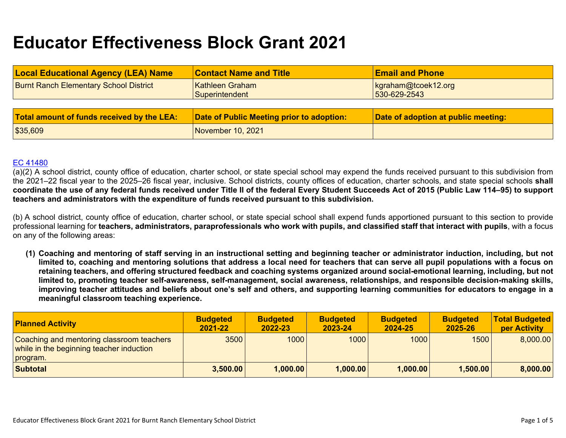# **Educator Effectiveness Block Grant 2021**

| <b>Local Educational Agency (LEA) Name</b>    | <b>Contact Name and Title</b>             | <b>Email and Phone</b>              |
|-----------------------------------------------|-------------------------------------------|-------------------------------------|
| <b>Burnt Ranch Elementary School District</b> | Kathleen Graham<br>Superintendent         | kgraham@toek12.org<br>530-629-2543  |
|                                               |                                           |                                     |
| Total amount of funds received by the LEA:    | Date of Public Meeting prior to adoption: | Date of adoption at public meeting: |
| \$35,609                                      | November 10, 2021                         |                                     |

#### [EC 41480](https://leginfo.legislature.ca.gov/faces/codes_displaySection.xhtml?sectionNum=41480.&lawCode=EDC)

(a)(2) A school district, county office of education, charter school, or state special school may expend the funds received pursuant to this subdivision from the 2021–22 fiscal year to the 2025–26 fiscal year, inclusive. School districts, county offices of education, charter schools, and state special schools **shall coordinate the use of any federal funds received under Title II of the federal Every Student Succeeds Act of 2015 (Public Law 114–95) to support teachers and administrators with the expenditure of funds received pursuant to this subdivision.**

(b) A school district, county office of education, charter school, or state special school shall expend funds apportioned pursuant to this section to provide professional learning for **teachers, administrators, paraprofessionals who work with pupils, and classified staff that interact with pupils**, with a focus on any of the following areas:

**(1) Coaching and mentoring of staff serving in an instructional setting and beginning teacher or administrator induction, including, but not limited to, coaching and mentoring solutions that address a local need for teachers that can serve all pupil populations with a focus on retaining teachers, and offering structured feedback and coaching systems organized around social-emotional learning, including, but not limited to, promoting teacher self-awareness, self-management, social awareness, relationships, and responsible decision-making skills, improving teacher attitudes and beliefs about one's self and others, and supporting learning communities for educators to engage in a meaningful classroom teaching experience.**

| <b>Planned Activity</b>                                                                           | <b>Budgeted</b><br>2021-22 | <b>Budgeted</b><br>2022-23 | <b>Budgeted</b><br>2023-24 | <b>Budgeted</b><br>2024-25 | <b>Budgeted</b><br>2025-26 | <b>Total Budgeted</b><br>per Activity |
|---------------------------------------------------------------------------------------------------|----------------------------|----------------------------|----------------------------|----------------------------|----------------------------|---------------------------------------|
| Coaching and mentoring classroom teachers<br>while in the beginning teacher induction<br>program. | 3500                       | 1000                       | 1000                       | 1000                       | 1500                       | 8,000.00                              |
| <b>Subtotal</b>                                                                                   | 3,500.00                   | 1,000.00                   | 1,000.00                   | 1,000.00                   | 1,500.00                   | 8,000.00                              |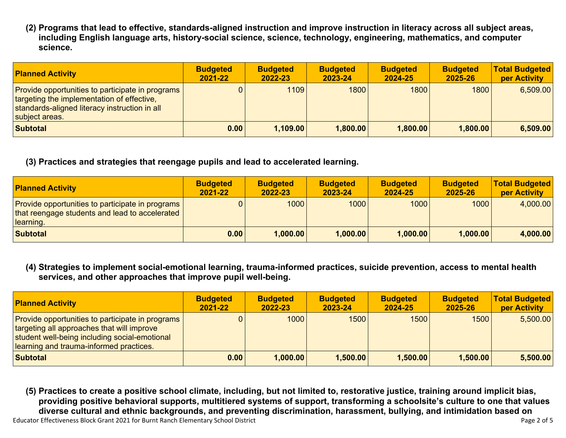**(2) Programs that lead to effective, standards-aligned instruction and improve instruction in literacy across all subject areas, including English language arts, history-social science, science, technology, engineering, mathematics, and computer science.**

| <b>Planned Activity</b>                                                                                                                                                         | <b>Budgeted</b><br>2021-22 | <b>Budgeted</b><br>2022-23 | <b>Budgeted</b><br>2023-24 | <b>Budgeted</b><br>2024-25 | <b>Budgeted</b><br>2025-26 | <b>Total Budgeted</b><br>per Activity |
|---------------------------------------------------------------------------------------------------------------------------------------------------------------------------------|----------------------------|----------------------------|----------------------------|----------------------------|----------------------------|---------------------------------------|
| <b>Provide opportunities to participate in programs</b><br><b>targeting the implementation of effective,</b><br>standards-aligned literacy instruction in all<br>subject areas. |                            | 1109                       | 1800                       | 1800                       | 1800                       | 6,509.00                              |
| <b>Subtotal</b>                                                                                                                                                                 | 0.00                       | 1,109.00                   | 1,800.00                   | 1,800.00                   | 1,800.00                   | 6,509.00                              |

# **(3) Practices and strategies that reengage pupils and lead to accelerated learning.**

| <b>Planned Activity</b>                                                                                                | <b>Budgeted</b><br>$2021 - 22$ | <b>Budgeted</b><br>2022-23 | <b>Budgeted</b><br>2023-24 | <b>Budgeted</b><br>2024-25 | <b>Budgeted</b><br>2025-26 | <b>Total Budgeted</b><br>per Activity |
|------------------------------------------------------------------------------------------------------------------------|--------------------------------|----------------------------|----------------------------|----------------------------|----------------------------|---------------------------------------|
| <b>Provide opportunities to participate in programs</b><br>that reengage students and lead to accelerated<br>learning. |                                | 1000                       | 1000                       | 1000                       | 1000                       | 4,000.00                              |
| <b>Subtotal</b>                                                                                                        | 0.00                           | 1,000.00                   | 1.000.00                   | 1,000.00                   | 1,000.00                   | 4,000.00                              |

**(4) Strategies to implement social-emotional learning, trauma-informed practices, suicide prevention, access to mental health services, and other approaches that improve pupil well-being.**

| <b>Planned Activity</b>                                                                                                                                                                           | <b>Budgeted</b><br>2021-22 | <b>Budgeted</b><br>2022-23 | <b>Budgeted</b><br>2023-24 | <b>Budgeted</b><br>2024-25 | <b>Budgeted</b><br>2025-26 | <b>Total Budgeted</b><br>per Activity |
|---------------------------------------------------------------------------------------------------------------------------------------------------------------------------------------------------|----------------------------|----------------------------|----------------------------|----------------------------|----------------------------|---------------------------------------|
| <b>Provide opportunities to participate in programs</b><br>targeting all approaches that will improve<br>student well-being including social-emotional<br>learning and trauma-informed practices. |                            | 1000                       | 1500                       | 1500                       | 1500                       | 5,500.00                              |
| <b>Subtotal</b>                                                                                                                                                                                   | 0.00                       | 1,000.00                   | 1,500.00                   | 1,500.00                   | 1,500.00                   | 5,500.00                              |

Educator Effectiveness Block Grant 2021 for Burnt Ranch Elementary School District **Page 2 of 5** and 2018 and 201 **(5) Practices to create a positive school climate, including, but not limited to, restorative justice, training around implicit bias, providing positive behavioral supports, multitiered systems of support, transforming a schoolsite's culture to one that values diverse cultural and ethnic backgrounds, and preventing discrimination, harassment, bullying, and intimidation based on**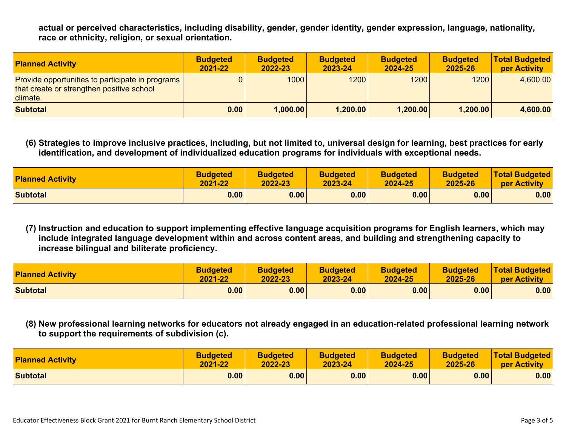**actual or perceived characteristics, including disability, gender, gender identity, gender expression, language, nationality, race or ethnicity, religion, or sexual orientation.**

| <b>Planned Activity</b>                                                                                          | <b>Budgeted</b><br>2021-22 | <b>Budgeted</b><br>2022-23 | <b>Budgeted</b><br>2023-24 | <b>Budgeted</b><br>2024-25 | <b>Budgeted</b><br>2025-26 | <b>Total Budgeted</b><br><b>per Activity</b> |
|------------------------------------------------------------------------------------------------------------------|----------------------------|----------------------------|----------------------------|----------------------------|----------------------------|----------------------------------------------|
| Provide opportunities to participate in programs<br>that create or strengthen positive school<br><b>climate.</b> |                            | 1000                       | 1200                       | 1200                       | 1200                       | 4,600.00                                     |
| <b>Subtotal</b>                                                                                                  | 0.00                       | 1,000.00                   | 1,200.00                   | 1,200.00                   | 1,200.00                   | 4,600.00                                     |

**(6) Strategies to improve inclusive practices, including, but not limited to, universal design for learning, best practices for early identification, and development of individualized education programs for individuals with exceptional needs.**

| <b>Planned Activity</b> | <b>Budgeted</b> | <b>Budgeted</b> | <b>Budgeted</b> | <b>Budgeted</b> | <b>Budgeted</b> | <b>Total Budgeted</b> |
|-------------------------|-----------------|-----------------|-----------------|-----------------|-----------------|-----------------------|
|                         | 2021-22         | 2022-23         | 2023-24         | 2024-25         | 2025-26         | per Activity          |
| <b>Subtotal</b>         | 0.00            | 0.00            | 0.00            | 0.00            | 0.00            | 0.00                  |

**(7) Instruction and education to support implementing effective language acquisition programs for English learners, which may include integrated language development within and across content areas, and building and strengthening capacity to increase bilingual and biliterate proficiency.**

| <b>Planned Activity</b> | <b>Budgeted</b> | <b>Budgeted</b> | <b>Budgeted</b> | <b>Budgeted</b> | <b>Budgeted</b> | <b>Total Budgeted</b> |
|-------------------------|-----------------|-----------------|-----------------|-----------------|-----------------|-----------------------|
|                         | 2021-22         | 2022-23         | 2023-24         | 2024-25         | 2025-26         | per Activity          |
| <b>Subtotal</b>         | 0.00            | 0.00            | 0.00            | 0.00            | 0.00            | 0.00                  |

**(8) New professional learning networks for educators not already engaged in an education-related professional learning network to support the requirements of subdivision (c).**

| <b>Planned Activity</b> | <b>Budgeted</b> | <b>Budgeted</b> | <b>Budgeted</b> | <b>Budgeted</b> | <b>Budgeted</b> | <b>Total Budgeted</b> |
|-------------------------|-----------------|-----------------|-----------------|-----------------|-----------------|-----------------------|
|                         | 2021-22         | 2022-23         | 2023-24         | 2024-25         | 2025-26         | per Activity          |
| <b>Subtotal</b>         | 0.00            | 0.00            | 0.00            | 0.00            | 0.00            | 0.00                  |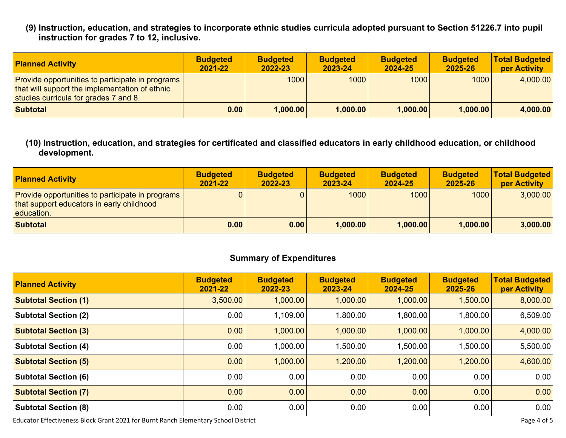**(9) Instruction, education, and strategies to incorporate ethnic studies curricula adopted pursuant to Section 51226.7 into pupil instruction for grades 7 to 12, inclusive.**

| <b>Planned Activity</b>                                                                                                                       | <b>Budgeted</b><br>2021-22 | <b>Budgeted</b><br>2022-23 | <b>Budgeted</b><br>2023-24 | <b>Budgeted</b><br>2024-25 | <b>Budgeted</b><br>2025-26 | <b>Total Budgeted</b><br><b>per Activity</b> |
|-----------------------------------------------------------------------------------------------------------------------------------------------|----------------------------|----------------------------|----------------------------|----------------------------|----------------------------|----------------------------------------------|
| Provide opportunities to participate in programs  <br>that will support the implementation of ethnic<br>studies curricula for grades 7 and 8. |                            | 1000                       | 1000                       | 1000                       | 1000                       | 4,000.00                                     |
| Subtotal                                                                                                                                      | 0.00                       | 1,000.00                   | 1,000.00                   | 1,000.00                   | 1,000.00                   | 4,000.00                                     |

### **(10) Instruction, education, and strategies for certificated and classified educators in early childhood education, or childhood development.**

| <b>Planned Activity</b>                                                                                     | <b>Budgeted</b><br>2021-22 | <b>Budgeted</b><br>2022-23 | <b>Budgeted</b><br>2023-24 | <b>Budgeted</b><br>2024-25 | <b>Budgeted</b><br>2025-26 | <b>Total Budgeted</b><br>per Activity |
|-------------------------------------------------------------------------------------------------------------|----------------------------|----------------------------|----------------------------|----------------------------|----------------------------|---------------------------------------|
| Provide opportunities to participate in programs<br>that support educators in early childhood<br>education. |                            |                            | 1000                       | 1000                       | 1000                       | 3,000.00                              |
| <b>Subtotal</b>                                                                                             | 0.00                       | 0.00                       | 1,000.00                   | 1,000.00                   | 1,000.00                   | 3,000.00                              |

# **Summary of Expenditures**

| <b>Planned Activity</b>     | <b>Budgeted</b><br>2021-22 | <b>Budgeted</b><br>2022-23 | <b>Budgeted</b><br>2023-24 | <b>Budgeted</b><br>2024-25 | <b>Budgeted</b><br>2025-26 | <b>Total Budgeted</b><br>per Activity |
|-----------------------------|----------------------------|----------------------------|----------------------------|----------------------------|----------------------------|---------------------------------------|
| <b>Subtotal Section (1)</b> | 3,500.00                   | 1,000.00                   | 1,000.00                   | 1,000.00                   | 1,500.00                   | 8,000.00                              |
| <b>Subtotal Section (2)</b> | 0.00                       | 1,109.00                   | 1,800.00                   | 1,800.00                   | 1,800.00                   | 6,509.00                              |
| <b>Subtotal Section (3)</b> | 0.00                       | 1,000.00                   | 1,000.00                   | 1,000.00                   | 1,000.00                   | 4,000.00                              |
| <b>Subtotal Section (4)</b> | 0.00                       | 1,000.00                   | 1,500.00                   | 1,500.00                   | 1,500.00                   | 5,500.00                              |
| <b>Subtotal Section (5)</b> | 0.00                       | 1,000.00                   | 1,200.00                   | 1,200.00                   | 1,200.00                   | 4,600.00                              |
| <b>Subtotal Section (6)</b> | 0.00                       | 0.00                       | 0.00                       | 0.00                       | 0.00                       | 0.00                                  |
| <b>Subtotal Section (7)</b> | 0.00                       | 0.00                       | 0.00                       | 0.00                       | 0.00                       | 0.00                                  |
| <b>Subtotal Section (8)</b> | 0.00                       | 0.00                       | 0.00                       | 0.00                       | 0.00                       | 0.00                                  |

Educator Effectiveness Block Grant 2021 for Burnt Ranch Elementary School District **Page 4 of 5** Page 4 of 5